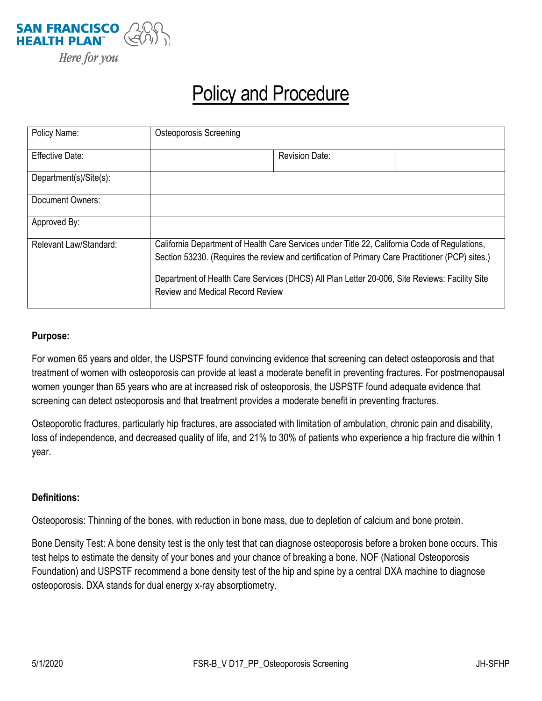

## Policy and Procedure

| Policy Name:           | <b>Osteoporosis Screening</b>                                                                                                                                                                                                                                                                                                                 |                       |  |
|------------------------|-----------------------------------------------------------------------------------------------------------------------------------------------------------------------------------------------------------------------------------------------------------------------------------------------------------------------------------------------|-----------------------|--|
| Effective Date:        |                                                                                                                                                                                                                                                                                                                                               | <b>Revision Date:</b> |  |
| Department(s)/Site(s): |                                                                                                                                                                                                                                                                                                                                               |                       |  |
| Document Owners:       |                                                                                                                                                                                                                                                                                                                                               |                       |  |
| Approved By:           |                                                                                                                                                                                                                                                                                                                                               |                       |  |
| Relevant Law/Standard: | California Department of Health Care Services under Title 22, California Code of Regulations,<br>Section 53230. (Requires the review and certification of Primary Care Practitioner (PCP) sites.)<br>Department of Health Care Services (DHCS) All Plan Letter 20-006, Site Reviews: Facility Site<br><b>Review and Medical Record Review</b> |                       |  |

## **Purpose:**

For women 65 years and older, the USPSTF found convincing evidence that screening can detect osteoporosis and that treatment of women with osteoporosis can provide at least a moderate benefit in preventing fractures. For postmenopausal women younger than 65 years who are at increased risk of osteoporosis, the USPSTF found adequate evidence that screening can detect osteoporosis and that treatment provides a moderate benefit in preventing fractures.

Osteoporotic fractures, particularly hip fractures, are associated with limitation of ambulation, chronic pain and disability, loss of independence, and decreased quality of life, and 21% to 30% of patients who experience a hip fracture die within 1 year.

## **Definitions:**

Osteoporosis: Thinning of the bones, with reduction in bone mass, due to depletion of calcium and bone protein.

Bone Density Test: A bone density test is the only test that can diagnose osteoporosis before a broken bone occurs. This test helps to estimate the density of your bones and your chance of breaking a bone. NOF (National Osteoporosis Foundation) and USPSTF recommend a bone density test of the hip and spine by a central DXA machine to diagnose osteoporosis. DXA stands for dual energy x-ray absorptiometry.